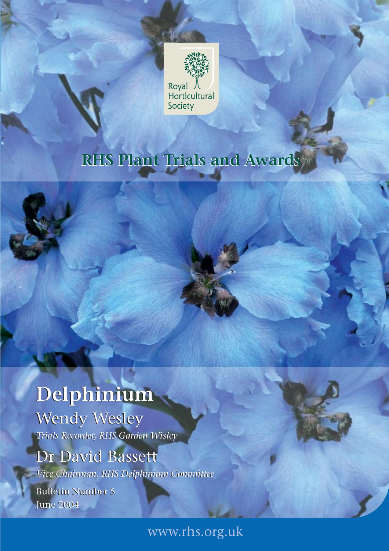

# **RHS Plant Trials and Awards RHS Plant Trials and Awards**

# **Delphinium Delphinium**

Wendy Wesley Wendy Wesley *Trials Recorder, RHS Garden Wisley Trials Recorder, RHS Garden Wisley*

## Dr David Bassett Dr David Bassett

*Vice Chairman, RHS Delphinium Committee Vice Chairman, RHS Delphinium Committee*

Bulletin Number 5 Bulletin Number 5 June 2004 June 2004

www.rhs.org.uk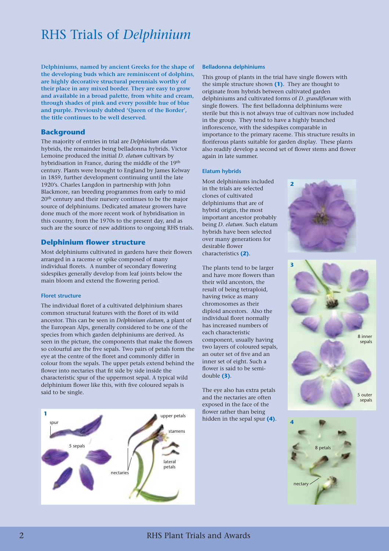## RHS Trials of *Delphinium*

**Delphiniums, named by ancient Greeks for the shape of the developing buds which are reminiscent of dolphins, are highly decorative structural perennials worthy of their place in any mixed border. They are easy to grow and available in a broad palette, from white and cream, through shades of pink and every possible hue of blue and purple. Previously dubbed 'Queen of the Border', the title continues to be well deserved.**

#### **Background**

The majority of entries in trial are *Delphinium elatum* hybrids, the remainder being belladonna hybrids. Victor Lemoine produced the initial *D. elatum* cultivars by hybridisation in France, during the middle of the 19<sup>th</sup> century. Plants were brought to England by James Kelway in 1859, further development continuing until the late 1920's. Charles Langdon in partnership with John Blackmore, ran breeding programmes from early to mid 20<sup>th</sup> century and their nursery continues to be the major source of delphiniums. Dedicated amateur growers have done much of the more recent work of hybridisation in this country, from the 1970s to the present day, and as such are the source of new additions to ongoing RHS trials.

## **Delphinium flower structure**

Most delphiniums cultivated in gardens have their flowers arranged in a raceme or spike composed of many individual florets. A number of secondary flowering sidespikes generally develop from leaf joints below the main bloom and extend the flowering period.

#### **Floret structure**

The individual floret of a cultivated delphinium shares common structural features with the floret of its wild ancestor. This can be seen in *Delphinium elatum*, a plant of the European Alps, generally considered to be one of the species from which garden delphiniums are derived. As seen in the picture, the components that make the flowers so colourful are the five sepals. Two pairs of petals form the eye at the centre of the floret and commonly differ in colour from the sepals. The upper petals extend behind the flower into nectaries that fit side by side inside the characteristic spur of the uppermost sepal. A typical wild delphinium flower like this, with five coloured sepals is said to be single.

## **1** spur 5 sepals nectaries stamens upper petals lateral petals

#### **Belladonna delphiniums**

This group of plants in the trial have single flowers with the simple structure shown **(1)**. They are thought to originate from hybrids between cultivated garden delphiniums and cultivated forms of *D. grandiflorum* with single flowers. The first belladonna delphiniums were sterile but this is not always true of cultivars now included in the group. They tend to have a highly branched inflorescence, with the sidespikes comparable in importance to the primary raceme. This structure results in floriferous plants suitable for garden display. These plants also readily develop a second set of flower stems and flower again in late summer.

#### **Elatum hybrids**

Most delphiniums included in the trials are selected clones of cultivated delphiniums that are of hybrid origin, the most important ancestor probably being *D. elatum*. Such elatum hybrids have been selected over many generations for desirable flower characteristics **(2)**.

The plants tend to be larger and have more flowers than their wild ancestors, the result of being tetraploid, having twice as many chromosomes as their diploid ancestors. Also the individual floret normally has increased numbers of each characteristic component, usually having two layers of coloured sepals, an outer set of five and an inner set of eight. Such a flower is said to be semidouble **(3)**.

The eye also has extra petals and the nectaries are often exposed in the face of the flower rather than being hidden in the sepal spur **(4)**.





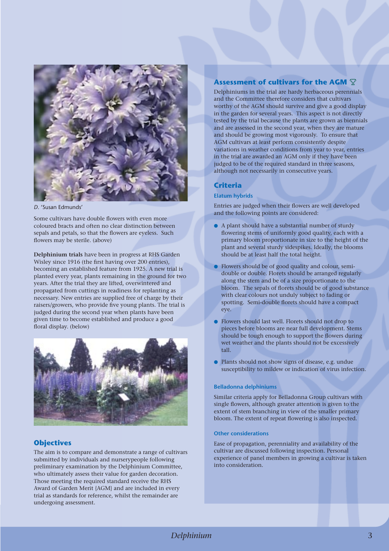

*D*. 'Susan Edmunds'

Some cultivars have double flowers with even more coloured bracts and often no clear distinction between sepals and petals, so that the flowers are eyeless. Such flowers may be sterile. (above)

**Delphinium trials** have been in progress at RHS Garden Wisley since 1916 (the first having over 200 entries), becoming an established feature from 1925. A new trial is planted every year, plants remaining in the ground for two years. After the trial they are lifted, overwintered and propagated from cuttings in readiness for replanting as necessary. New entries are supplied free of charge by their raisers/growers, who provide five young plants. The trial is judged during the second year when plants have been given time to become established and produce a good floral display. (below)



## **Objectives**

The aim is to compare and demonstrate a range of cultivars submitted by individuals and nurserypeople following preliminary examination by the Delphinium Committee, who ultimately assess their value for garden decoration. Those meeting the required standard receive the RHS Award of Garden Merit {AGM} and are included in every trial as standards for reference, whilst the remainder are undergoing assessment.

## **Assessment of cultivars for the AGM**

Delphiniums in the trial are hardy herbaceous perennials and the Committee therefore considers that cultivars worthy of the AGM should survive and give a good display in the garden for several years. This aspect is not directly tested by the trial because the plants are grown as biennials and are assessed in the second year, when they are mature and should be growing most vigorously. To ensure that AGM cultivars at least perform consistently despite variations in weather conditions from year to year, entries in the trial are awarded an AGM only if they have been judged to be of the required standard in three seasons, although not necessarily in consecutive years.

#### **Criteria**

#### **Elatum hybrids**

Entries are judged when their flowers are well developed and the following points are considered:

- A plant should have a substantial number of sturdy flowering stems of uniformly good quality, each with a primary bloom proportionate in size to the height of the plant and several sturdy sidespikes. Ideally, the blooms should be at least half the total height.
- Flowers should be of good quality and colour, semidouble or double. Florets should be arranged regularly along the stem and be of a size proportionate to the bloom. The sepals of florets should be of good substance with clear colours not unduly subject to fading or spotting. Semi-double florets should have a compact eye.
- Flowers should last well. Florets should not drop to pieces before blooms are near full development. Stems should be tough enough to support the flowers during wet weather and the plants should not be excessively tall.
- Plants should not show signs of disease, e.g. undue susceptibility to mildew or indication of virus infection.

#### **Belladonna delphiniums**

Similar criteria apply for Belladonna Group cultivars with single flowers, although greater attention is given to the extent of stem branching in view of the smaller primary bloom. The extent of repeat flowering is also inspected.

#### **Other considerations**

Ease of propagation, perenniality and availability of the cultivar are discussed following inspection. Personal experience of panel members in growing a cultivar is taken into consideration.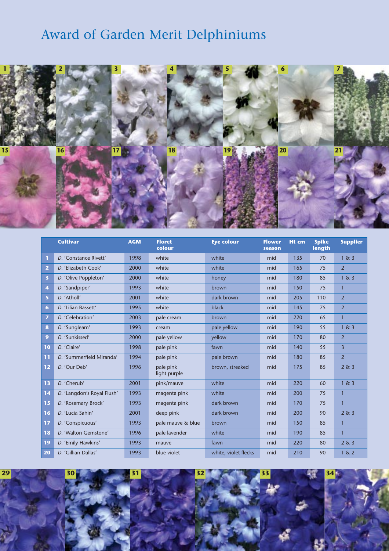## Award of Garden Merit Delphiniums



|                         | <b>Cultivar</b>            | <b>AGM</b> | <b>Floret</b><br>colour   | <b>Eye colour</b>    | <b>Flower</b><br>season | Ht cm | <b>Spike</b><br>length | <b>Supplier</b> |
|-------------------------|----------------------------|------------|---------------------------|----------------------|-------------------------|-------|------------------------|-----------------|
| $\mathbf{T}$            | D. 'Constance Rivett'      | 1998       | white                     | white                | mid                     | 135   | 70                     | 1 & 3           |
| $\overline{2}$          | D. 'Elizabeth Cook'        | 2000       | white                     | white                | mid                     | 165   | 75                     | $\overline{2}$  |
| $\overline{\mathbf{3}}$ | D. 'Olive Poppleton'       | 2000       | white                     | honey                | mid                     | 180   | 85                     | 1 & 3           |
| 4                       | D. 'Sandpiper'             | 1993       | white                     | brown                | mid                     | 150   | 75                     | $\mathbf{1}$    |
| 5 <sup>1</sup>          | D. 'Atholl'                | 2001       | white                     | dark brown           | mid                     | 205   | 110                    | $\overline{2}$  |
| $6\phantom{1}$          | D. 'Lilian Bassett'        | 1995       | white                     | black                | mid                     | 145   | 75                     | $\overline{2}$  |
| $\overline{ }$          | D. 'Celebration'           | 2003       | pale cream                | brown                | mid                     | 220   | 65                     | $\mathbf{1}$    |
| 8                       | D. 'Sungleam'              | 1993       | cream                     | pale yellow          | mid                     | 190   | 55                     | 1 & 3           |
| 9 <sup>°</sup>          | D. 'Sunkissed'             | 2000       | pale yellow               | yellow               | mid                     | 170   | 80                     | $\overline{2}$  |
| 10                      | D. 'Claire'                | 1998       | pale pink                 | fawn                 | mid                     | 140   | 55                     | $\overline{3}$  |
| 11                      | D. 'Summerfield Miranda'   | 1994       | pale pink                 | pale brown           | mid                     | 180   | 85                     | $\overline{2}$  |
| 12                      | D. 'Our Deb'               | 1996       | pale pink<br>light purple | brown, streaked      | mid                     | 175   | 85                     | 2 & 3           |
| 13                      | D. 'Cherub'                | 2001       | pink/mauve                | white                | mid                     | 220   | 60                     | 1 & 3           |
| 14                      | D. 'Langdon's Royal Flush' | 1993       | magenta pink              | white                | mid                     | 200   | 75                     | $\mathbf{1}$    |
| 15                      | D. 'Rosemary Brock'        | 1993       | magenta pink              | dark brown           | mid                     | 170   | 75                     | $\mathbf{1}$    |
| 16                      | D. 'Lucia Sahin'           | 2001       | deep pink                 | dark brown           | mid                     | 200   | 90                     | 2 & 3           |
| 17                      | D. 'Conspicuous'           | 1993       | pale mauve & blue         | brown                | mid                     | 150   | 85                     | $\mathbf{1}$    |
| 18                      | D. 'Walton Gemstone'       | 1996       | pale lavender             | white                | mid                     | 190   | 85                     | $\mathbf{1}$    |
| 19                      | D. 'Emily Hawkins'         | 1993       | mauve                     | fawn                 | mid                     | 220   | 80                     | 2 & 3           |
| 20                      | D. 'Gillian Dallas'        | 1993       | blue violet               | white, violet flecks | mid                     | 210   | 90                     | 1 & 2           |

**30 31 32 33 34**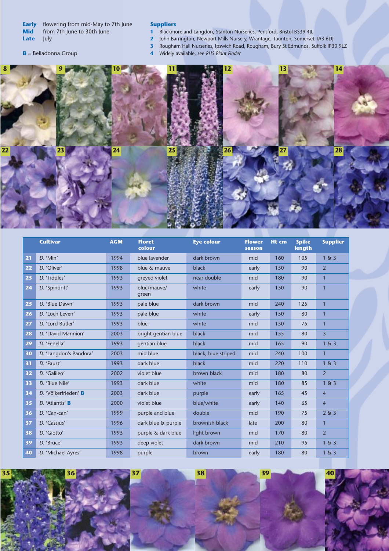**Early** flowering from mid-May to 7th June **Mid** from 7th June to 30th June<br>**Late** July **Late** 

#### **Suppliers**

- Blackmore and Langdon, Stanton Nurseries, Pensford, Bristol BS39 4JL
- John Barrington, Newport Mills Nursery, Wrantage, Taunton, Somerset TA3 6DJ
	- Rougham Hall Nurseries, Ipswich Road, Rougham, Bury St Edmunds, Suffolk IP30 9LZ
	- Widely available, see *RHS Plant Finder*



|    | <b>Cultivar</b>        | <b>AGM</b> | <b>Floret</b><br>colour | <b>Eye colour</b>   | <b>Flower</b><br>season | Ht cm | <b>Spike</b><br>length | <b>Supplier</b> |
|----|------------------------|------------|-------------------------|---------------------|-------------------------|-------|------------------------|-----------------|
| 21 | $D.$ 'Min'             | 1994       | blue lavender           | dark brown          | mid                     | 160   | 105                    | 1 & 3           |
| 22 | D. 'Oliver'            | 1998       | blue & mauve            | black               | early                   | 150   | 90                     | $\overline{2}$  |
| 23 | D. 'Tiddles'           | 1993       | greyed violet           | near double         | mid                     | 180   | 90                     | $\mathbf{1}$    |
| 24 | D. 'Spindrift'         | 1993       | blue/mauve/<br>green    | white               | early                   | 150   | 90                     | $\mathbf{1}$    |
| 25 | D. 'Blue Dawn'         | 1993       | pale blue               | dark brown          | mid                     | 240   | 125                    | $\mathbf{1}$    |
| 26 | D. 'Loch Leven'        | 1993       | pale blue               | white               | early                   | 150   | 80                     | $\mathbf{1}$    |
| 27 | D. 'Lord Butler'       | 1993       | blue                    | white               | mid                     | 150   | 75                     | $\mathbf{1}$    |
| 28 | D. 'David Mannion'     | 2003       | bright gentian blue     | black               | mid                     | 155   | 80                     | $\overline{3}$  |
| 29 | D. 'Fenella'           | 1993       | gentian blue            | black               | mid                     | 165   | 90                     | 1 & 3           |
| 30 | D. 'Langdon's Pandora' | 2003       | mid blue                | black, blue striped | mid                     | 240   | 100                    | $\mathbf{1}$    |
| 31 | D. 'Faust'             | 1993       | dark blue               | black               | mid                     | 220   | 110                    | 1 & 3           |
| 32 | D. 'Galileo'           | 2002       | violet blue             | brown black         | mid                     | 180   | 80                     | $\overline{2}$  |
| 33 | D. 'Blue Nile'         | 1993       | dark blue               | white               | mid                     | 180   | 85                     | 1 & 3           |
| 34 | D. 'Völkerfrieden' B   | 2003       | dark blue               | purple              | early                   | 165   | 45                     | $\overline{4}$  |
| 35 | D. 'Atlantis' B        | 2000       | violet blue             | blue/white          | early                   | 140   | 65                     | $\overline{4}$  |
| 36 | D. 'Can-can'           | 1999       | purple and blue         | double              | mid                     | 190   | 75                     | 2 & 3           |
| 37 | D. 'Cassius'           | 1996       | dark blue & purple      | brownish black      | late                    | 200   | 80                     | $\mathbf{1}$    |
| 38 | D. 'Giotto'            | 1993       | purple & dark blue      | light brown         | mid                     | 170   | 80                     | $\overline{2}$  |
| 39 | D. 'Bruce'             | 1993       | deep violet             | dark brown          | mid                     | 210   | 95                     | 1 & 3           |
| 40 | D. 'Michael Ayres'     | 1998       | purple                  | brown               | early                   | 180   | 80                     | 1 & 3           |

 **37 38 39 40**

**B** = Belladonna Group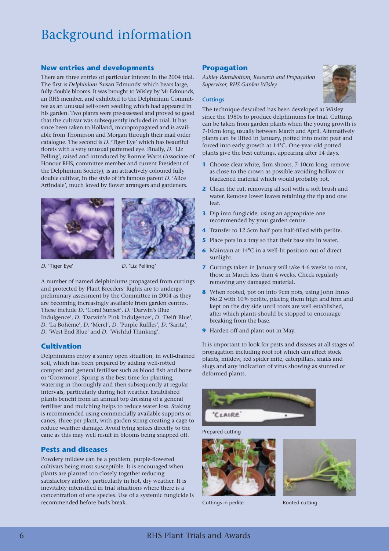## Background information

## **New entries and developments**

There are three entries of particular interest in the 2004 trial. The first is *Delphinium* 'Susan Edmunds' which bears large, fully double blooms. It was brought to Wisley by Mr Edmunds, an RHS member, and exhibited to the Delphinium Committee as an unusual self-sown seedling which had appeared in his garden. Two plants were pre-assessed and proved so good that the cultivar was subsequently included in trial. It has since been taken to Holland, micropropagated and is available from Thompson and Morgan through their mail order catalogue. The second is *D.* 'Tiger Eye' which has beautiful florets with a very unusual patterned eye. Finally, *D.* 'Liz Pelling', raised and introduced by Ronnie Watts (Associate of Honour RHS, committee member and current President of the Delphinium Society), is an attractively coloured fully double cultivar, in the style of it's famous parent *D.* 'Alice Artindale', much loved by flower arrangers and gardeners.





*D*. 'Tiger Eye' *D*. 'Liz Pelling'

A number of named delphiniums propagated from cuttings and protected by Plant Breeders' Rights are to undergo preliminary assessment by the Committee in 2004 as they are becoming increasingly available from garden centres. These include *D.* 'Coral Sunset', *D.* 'Darwin's Blue Indulgence', *D. '*Darwin's Pink Indulgence', *D.* 'Delft Blue', *D.* 'La Bohème', *D.* 'Merel', *D.* 'Purple Ruffles', *D.* 'Sarita', *D.* 'West End Blue' and *D.* 'Wishful Thinking'.

## **Cultivation**

Delphiniums enjoy a sunny open situation, in well-drained soil, which has been prepared by adding well-rotted compost and general fertiliser such as blood fish and bone or 'Growmore'. Spring is the best time for planting, watering in thoroughly and then subsequently at regular intervals, particularly during hot weather. Established plants benefit from an annual top dressing of a general fertiliser and mulching helps to reduce water loss. Staking is recommended using commercially available supports or canes, three per plant, with garden string creating a cage to reduce weather damage. Avoid tying spikes directly to the cane as this may well result in blooms being snapped off.

## **Pests and diseases**

Powdery mildew can be a problem, purple-flowered cultivars being most susceptible. It is encouraged when plants are planted too closely together reducing satisfactory airflow, particularly in hot, dry weather. It is inevitably intensified in trial situations where there is a concentration of one species. Use of a systemic fungicide is recommended before buds break.

## **Propagation**

*Ashley Ramsbottom, Research and Propagation Supervisor, RHS Garden Wisley*



#### **Cuttings**

The technique described has been developed at Wisley since the 1980s to produce delphiniums for trial. Cuttings can be taken from garden plants when the young growth is 7-10cm long, usually between March and April. Alternatively plants can be lifted in January, potted into moist peat and forced into early growth at 14°C. One-year-old potted plants give the best cuttings, appearing after 14 days.

- **1** Choose clear white, firm shoots, 7-10cm long; remove as close to the crown as possible avoiding hollow or blackened material which would probably rot.
- **2** Clean the cut, removing all soil with a soft brush and water. Remove lower leaves retaining the tip and one leaf.
- **3** Dip into fungicide, using an appropriate one recommended by your garden centre.
- **4** Transfer to 12.5cm half pots half-filled with perlite.
- **5** Place pots in a tray so that their base sits in water.
- **6** Maintain at 14°C in a well-lit position out of direct sunlight.
- **7** Cuttings taken in January will take 4-6 weeks to root, those in March less than 4 weeks. Check regularly removing any damaged material.
- **8** When rooted, pot on into 9cm pots, using John Innes No.2 with 10% perlite, placing them high and firm and kept on the dry side until roots are well established, after which plants should be stopped to encourage breaking from the base.
- **9** Harden off and plant out in May.

It is important to look for pests and diseases at all stages of propagation including root rot which can affect stock plants, mildew, red spider mite, caterpillars, snails and slugs and any indication of virus showing as stunted or deformed plants.



Prepared cutting



Cuttings in perlite **Rooted cutting**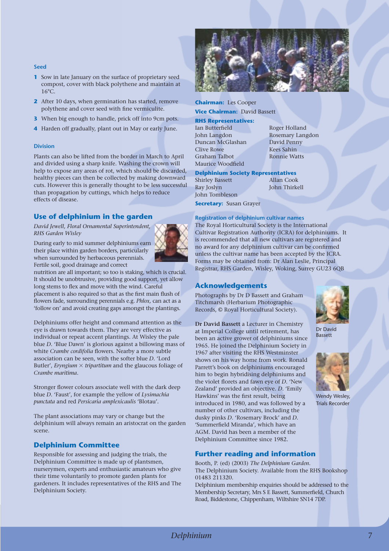#### **Seed**

- **1** Sow in late January on the surface of proprietary seed compost, cover with black polythene and maintain at  $16^{\circ}C$
- **2** After 10 days, when germination has started, remove polythene and cover seed with fine vermiculite.
- **3** When big enough to handle, prick off into 9cm pots.
- **4** Harden off gradually, plant out in May or early June.

#### **Division**

Plants can also be lifted from the border in March to April and divided using a sharp knife. Washing the crown will help to expose any areas of rot, which should be discarded, healthy pieces can then be collected by making downward cuts. However this is generally thought to be less successful than propagation by cuttings, which helps to reduce effects of disease.

## **Use of delphinium in the garden**

*David Jewell, Floral Ornamental Superintendent, RHS Garden Wisley*

During early to mid summer delphiniums earn their place within garden borders, particularly when surrounded by herbaceous perennials. Fertile soil, good drainage and correct



nutrition are all important; so too is staking, which is crucial. It should be unobtrusive, providing good support, yet allow long stems to flex and move with the wind. Careful placement is also required so that as the first main flush of flowers fade, surrounding perennials e.g*. Phlox,* can act as a 'follow on' and avoid creating gaps amongst the plantings.

Delphiniums offer height and command attention as the eye is drawn towards them. They are very effective as individual or repeat accent plantings. At Wisley the pale blue *D.* 'Blue Dawn' is glorious against a billowing mass of white *Crambe cordifolia* flowers. Nearby a more subtle association can be seen, with the softer blue *D.* 'Lord Butler', *Eryngium × tripartitum* and the glaucous foliage of *Crambe maritima*.

Stronger flower colours associate well with the dark deep blue *D.* 'Faust', for example the yellow of *Lysimachia punctata* and red *Persicaria amplexicaulis* 'Blotau'.

The plant associations may vary or change but the delphinium will always remain an aristocrat on the garden scene.

## **Delphinium Committee**

Responsible for assessing and judging the trials, the Delphinium Committee is made up of plantsmen, nurserymen, experts and enthusiastic amateurs who give their time voluntarily to promote garden plants for gardeners. It includes representatives of the RHS and The Delphinium Society.



## **Chairman:** Les Cooper

**Vice Chairman:** David Bassett

#### **RHS Representatives:**

Ian Butterfield Roger Holland Duncan McGlashan David Penny Clive Rowe Kees Sahin Graham Talbot Ronnie Watts Maurice Woodfield

John Langdon Rosemary Langdon

**Delphinium Society Representatives** Shirley Bassett Allan Cook Ray Joslyn John Thirkell John Tombleson

**Secretary:** Susan Grayer

**Registration of delphinium cultivar names**

The Royal Horticultural Society is the International Cultivar Registration Authority (ICRA) for delphiniums. It is recommended that all new cultivars are registered and no award for any delphinium cultivar can be confirmed unless the cultivar name has been accepted by the ICRA. Forms may be obtained from: Dr Alan Leslie, Principal Registrar, RHS Garden, Wisley, Woking, Surrey GU23 6QB

## **Acknowledgements**

Photographs by Dr D Bassett and Graham Titchmarsh (Herbarium Photographic Records, © Royal Horticultural Society).

**Dr David Bassett** a Lecturer in Chemistry at Imperial College until retirement, has been an active grower of delphiniums since 1965. He joined the Delphinium Society in 1967 after visiting the RHS Westminster shows on his way home from work. Ronald Parrett's book on delphiniums encouraged him to begin hybridising delphiniums and the violet florets and fawn eye of *D.* 'New Zealand' provided an objective. *D*. 'Emily Hawkins' was the first result, being introduced in 1980, and was followed by a number of other cultivars, including the dusky pinks *D*. 'Rosemary Brock' and *D.* 'Summerfield Miranda', which have an AGM. David has been a member of the Delphinium Committee since 1982.

## **Further reading and information**

Booth, P. (ed) (2003) *The Delphinium Garden*. The Delphinium Society. Available from the RHS Bookshop 01483 211320.

Delphinium membership enquiries should be addressed to the Membership Secretary, Mrs S E Bassett, Summerfield, Church Road, Biddestone, Chippenham, Wiltshire SN14 7DP.



Dr David Bassett



Wendy Wesley, Trials Recorder